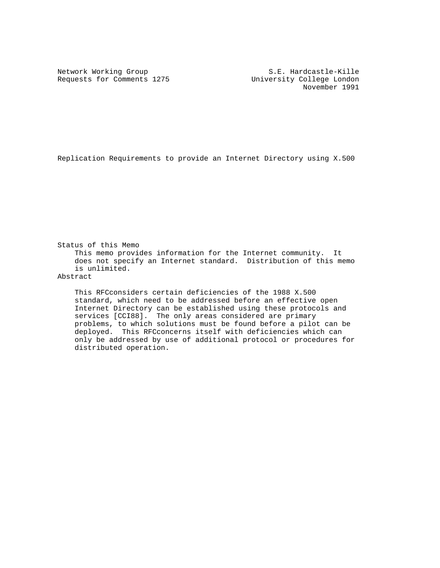Requests for Comments 1275 University College London

Network Working Group S.E. Hardcastle-Kille November 1991

Replication Requirements to provide an Internet Directory using X.500

Status of this Memo This memo provides information for the Internet community. It does not specify an Internet standard. Distribution of this memo is unlimited. Abstract

 This RFCconsiders certain deficiencies of the 1988 X.500 standard, which need to be addressed before an effective open Internet Directory can be established using these protocols and services [CCI88]. The only areas considered are primary problems, to which solutions must be found before a pilot can be deployed. This RFCconcerns itself with deficiencies which can only be addressed by use of additional protocol or procedures for distributed operation.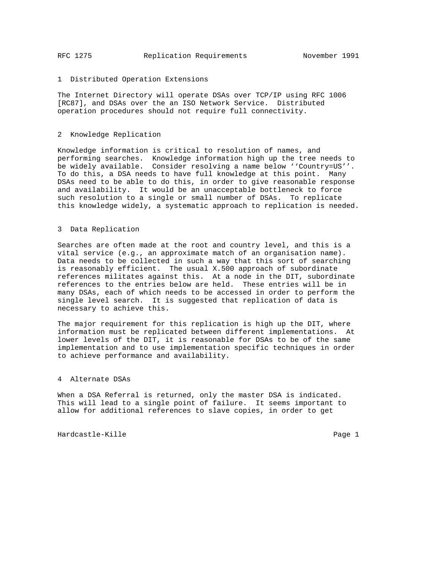## 1 Distributed Operation Extensions

The Internet Directory will operate DSAs over TCP/IP using RFC 1006 [RC87], and DSAs over the an ISO Network Service. Distributed operation procedures should not require full connectivity.

## 2 Knowledge Replication

Knowledge information is critical to resolution of names, and performing searches. Knowledge information high up the tree needs to be widely available. Consider resolving a name below ''Country=US''. To do this, a DSA needs to have full knowledge at this point. Many DSAs need to be able to do this, in order to give reasonable response and availability. It would be an unacceptable bottleneck to force such resolution to a single or small number of DSAs. To replicate this knowledge widely, a systematic approach to replication is needed.

## 3 Data Replication

Searches are often made at the root and country level, and this is a vital service (e.g., an approximate match of an organisation name). Data needs to be collected in such a way that this sort of searching is reasonably efficient. The usual X.500 approach of subordinate references militates against this. At a node in the DIT, subordinate references to the entries below are held. These entries will be in many DSAs, each of which needs to be accessed in order to perform the single level search. It is suggested that replication of data is necessary to achieve this.

The major requirement for this replication is high up the DIT, where information must be replicated between different implementations. At lower levels of the DIT, it is reasonable for DSAs to be of the same implementation and to use implementation specific techniques in order to achieve performance and availability.

## 4 Alternate DSAs

When a DSA Referral is returned, only the master DSA is indicated. This will lead to a single point of failure. It seems important to allow for additional references to slave copies, in order to get

Hardcastle-Kille Page 1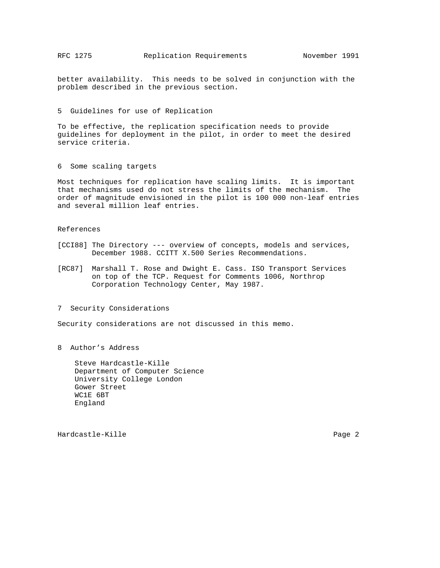better availability. This needs to be solved in conjunction with the problem described in the previous section.

5 Guidelines for use of Replication

To be effective, the replication specification needs to provide guidelines for deployment in the pilot, in order to meet the desired service criteria.

6 Some scaling targets

Most techniques for replication have scaling limits. It is important that mechanisms used do not stress the limits of the mechanism. The order of magnitude envisioned in the pilot is 100 000 non-leaf entries and several million leaf entries.

References

- [CCI88] The Directory --- overview of concepts, models and services, December 1988. CCITT X.500 Series Recommendations.
- [RC87] Marshall T. Rose and Dwight E. Cass. ISO Transport Services on top of the TCP. Request for Comments 1006, Northrop Corporation Technology Center, May 1987.
- 7 Security Considerations

Security considerations are not discussed in this memo.

8 Author's Address

 Steve Hardcastle-Kille Department of Computer Science University College London Gower Street WC1E 6BT England

Hardcastle-Kille **Page 2**